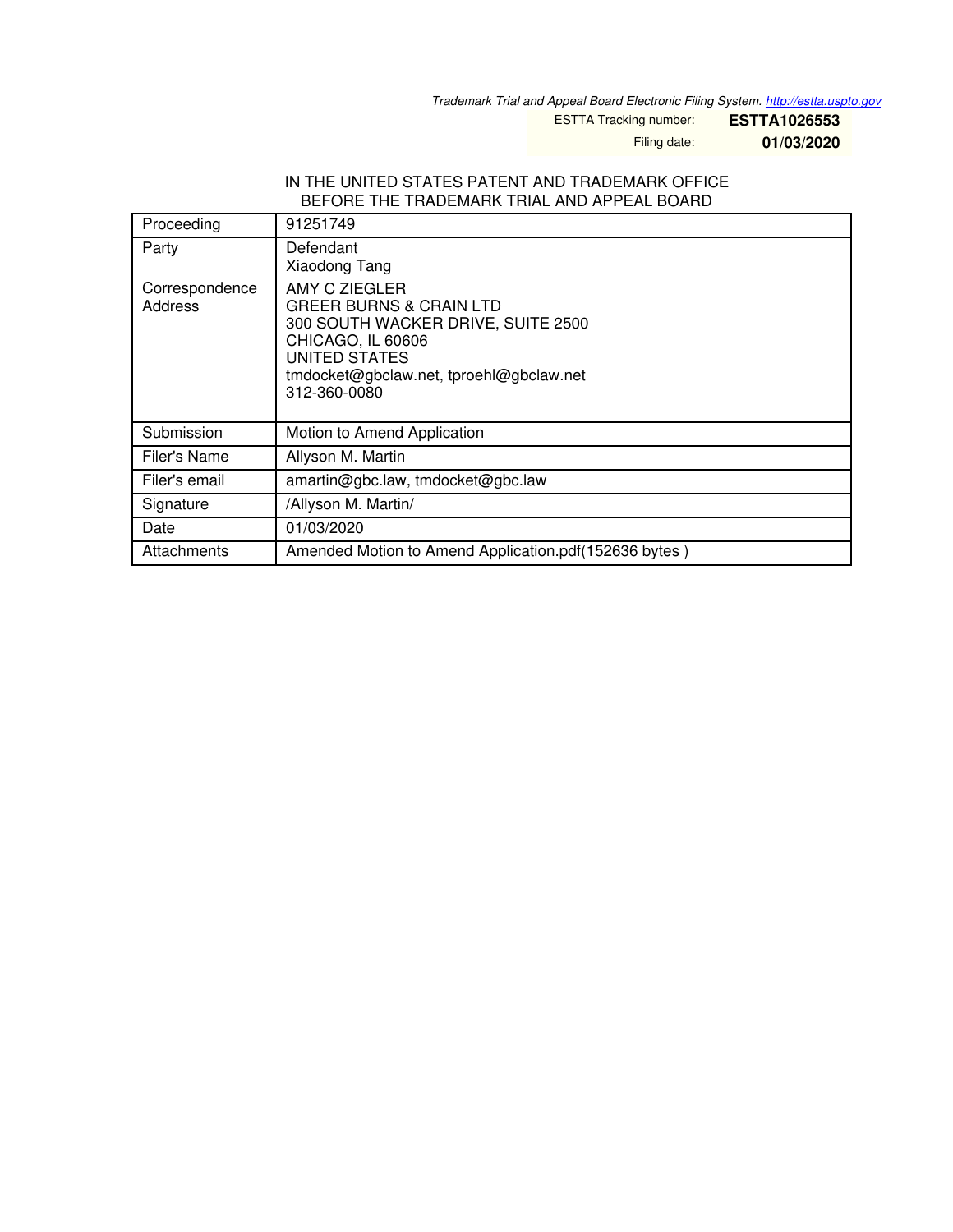*Trademark Trial and Appeal Board Electronic Filing System. <http://estta.uspto.gov>*

ESTTA Tracking number: **ESTTA1026553**

Filing date: **01/03/2020**

## IN THE UNITED STATES PATENT AND TRADEMARK OFFICE BEFORE THE TRADEMARK TRIAL AND APPEAL BOARD

| Proceeding                | 91251749                                                                                                                                                                                          |
|---------------------------|---------------------------------------------------------------------------------------------------------------------------------------------------------------------------------------------------|
| Party                     | Defendant<br>Xiaodong Tang                                                                                                                                                                        |
| Correspondence<br>Address | AMY C ZIEGLER<br><b>GREER BURNS &amp; CRAIN LTD</b><br>300 SOUTH WACKER DRIVE, SUITE 2500<br>CHICAGO, IL 60606<br><b>UNITED STATES</b><br>tmdocket@gbclaw.net, tproehl@gbclaw.net<br>312-360-0080 |
| Submission                | Motion to Amend Application                                                                                                                                                                       |
| Filer's Name              | Allyson M. Martin                                                                                                                                                                                 |
| Filer's email             | amartin@gbc.law, tmdocket@gbc.law                                                                                                                                                                 |
| Signature                 | /Allyson M. Martin/                                                                                                                                                                               |
| Date                      | 01/03/2020                                                                                                                                                                                        |
| Attachments               | Amended Motion to Amend Application.pdf(152636 bytes)                                                                                                                                             |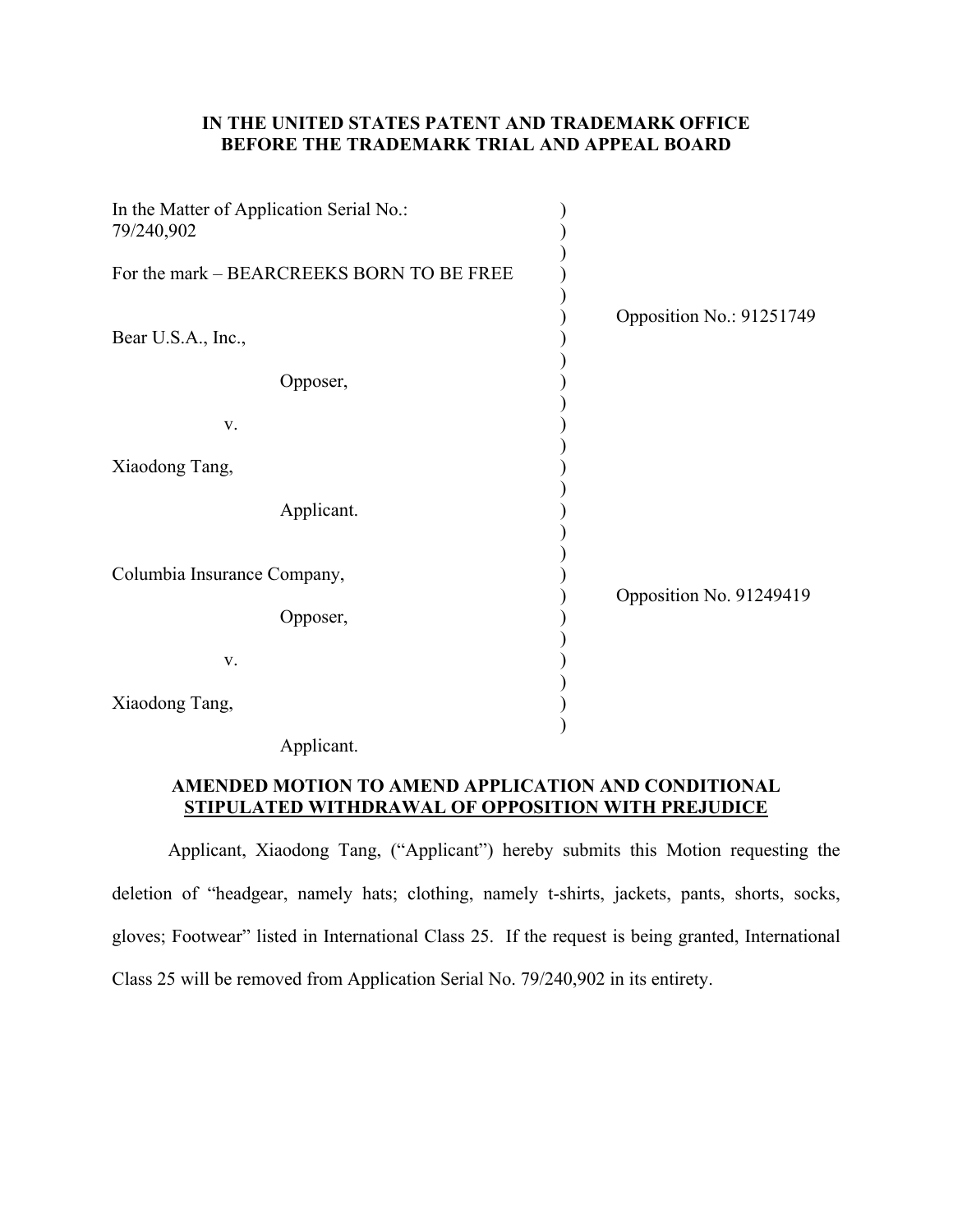## **IN THE UNITED STATES PATENT AND TRADEMARK OFFICE BEFORE THE TRADEMARK TRIAL AND APPEAL BOARD**

| In the Matter of Application Serial No.:<br>79/240,902 |                          |  |
|--------------------------------------------------------|--------------------------|--|
| For the mark - BEARCREEKS BORN TO BE FREE              |                          |  |
| Bear U.S.A., Inc.,                                     | Opposition No.: 91251749 |  |
| Opposer,                                               |                          |  |
| V.                                                     |                          |  |
| Xiaodong Tang,                                         |                          |  |
| Applicant.                                             |                          |  |
| Columbia Insurance Company,                            | Opposition No. 91249419  |  |
| Opposer,                                               |                          |  |
| V.                                                     |                          |  |
| Xiaodong Tang,                                         |                          |  |

Applicant.

## **AMENDED MOTION TO AMEND APPLICATION AND CONDITIONAL STIPULATED WITHDRAWAL OF OPPOSITION WITH PREJUDICE**

Applicant, Xiaodong Tang, ("Applicant") hereby submits this Motion requesting the deletion of "headgear, namely hats; clothing, namely t-shirts, jackets, pants, shorts, socks, gloves; Footwear" listed in International Class 25. If the request is being granted, International Class 25 will be removed from Application Serial No. 79/240,902 in its entirety.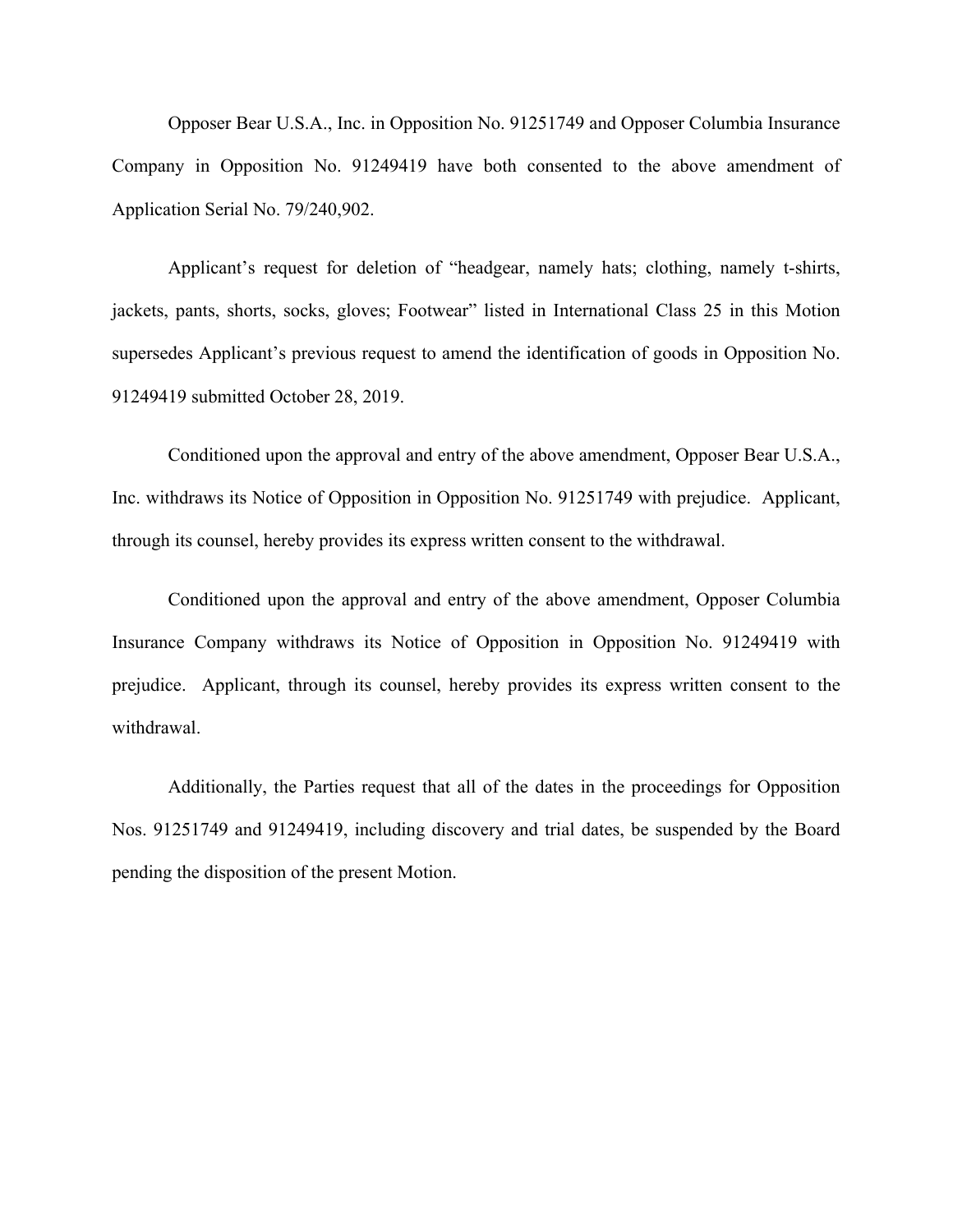Opposer Bear U.S.A., Inc. in Opposition No. 91251749 and Opposer Columbia Insurance Company in Opposition No. 91249419 have both consented to the above amendment of Application Serial No. 79/240,902.

Applicant's request for deletion of "headgear, namely hats; clothing, namely t-shirts, jackets, pants, shorts, socks, gloves; Footwear" listed in International Class 25 in this Motion supersedes Applicant's previous request to amend the identification of goods in Opposition No. 91249419 submitted October 28, 2019.

Conditioned upon the approval and entry of the above amendment, Opposer Bear U.S.A., Inc. withdraws its Notice of Opposition in Opposition No. 91251749 with prejudice. Applicant, through its counsel, hereby provides its express written consent to the withdrawal.

Conditioned upon the approval and entry of the above amendment, Opposer Columbia Insurance Company withdraws its Notice of Opposition in Opposition No. 91249419 with prejudice. Applicant, through its counsel, hereby provides its express written consent to the withdrawal.

 Additionally, the Parties request that all of the dates in the proceedings for Opposition Nos. 91251749 and 91249419, including discovery and trial dates, be suspended by the Board pending the disposition of the present Motion.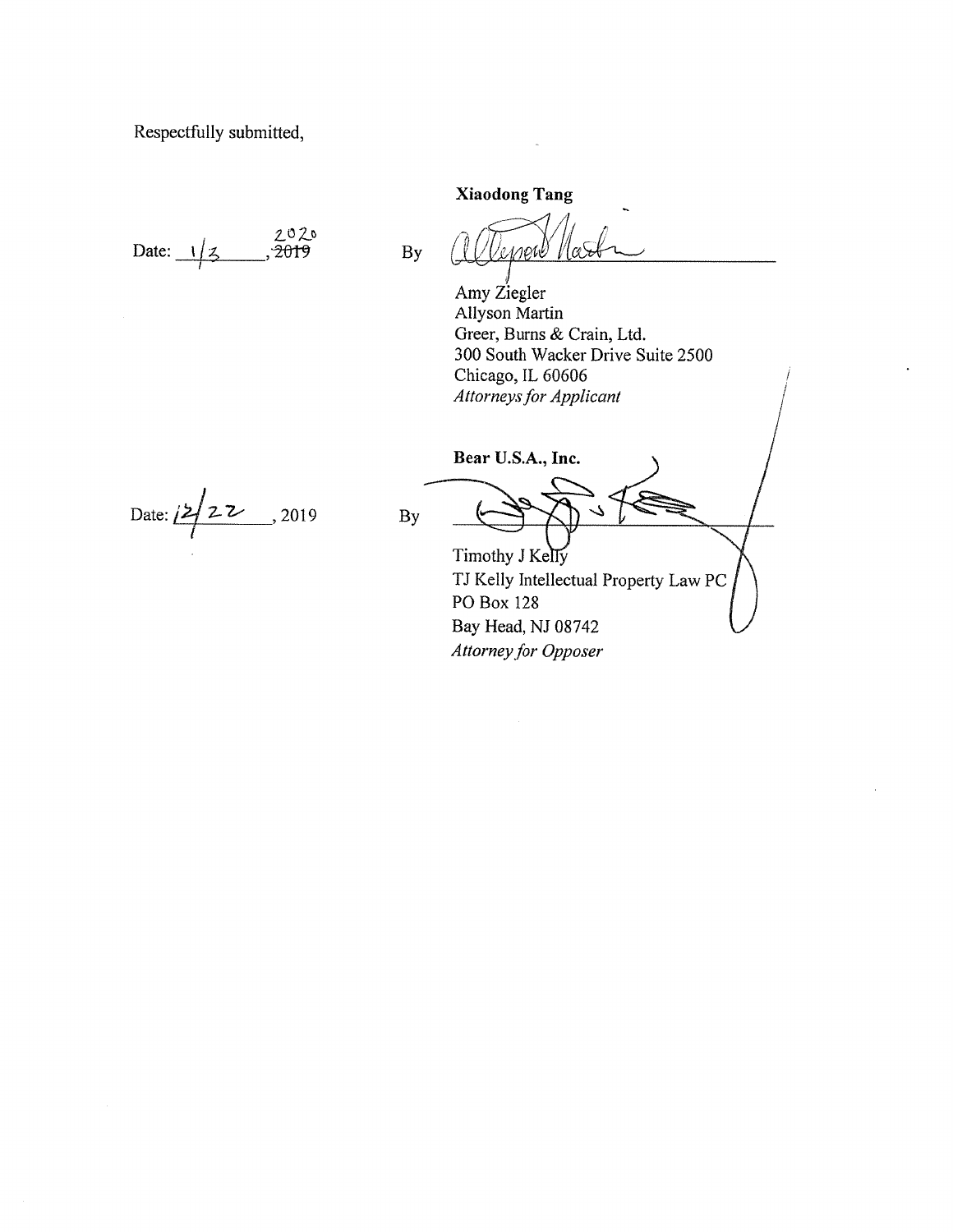Respectfully submitted,

2020 Date:  $1/z$ 2019

**Xiaodong Tang** 

Amy Ziegler Allyson Martin Greer, Burns & Crain, Ltd. 300 South Wacker Drive Suite 2500 Chicago, IL 60606 **Attorneys for Applicant** 

Bear U.S.A., Inc.

Date:  $222$ , 2019

By

**By** 

Timothy J Kelly TJ Kelly Intellectual Property Law PC PO Box 128 Bay Head, NJ 08742 Attorney for Opposer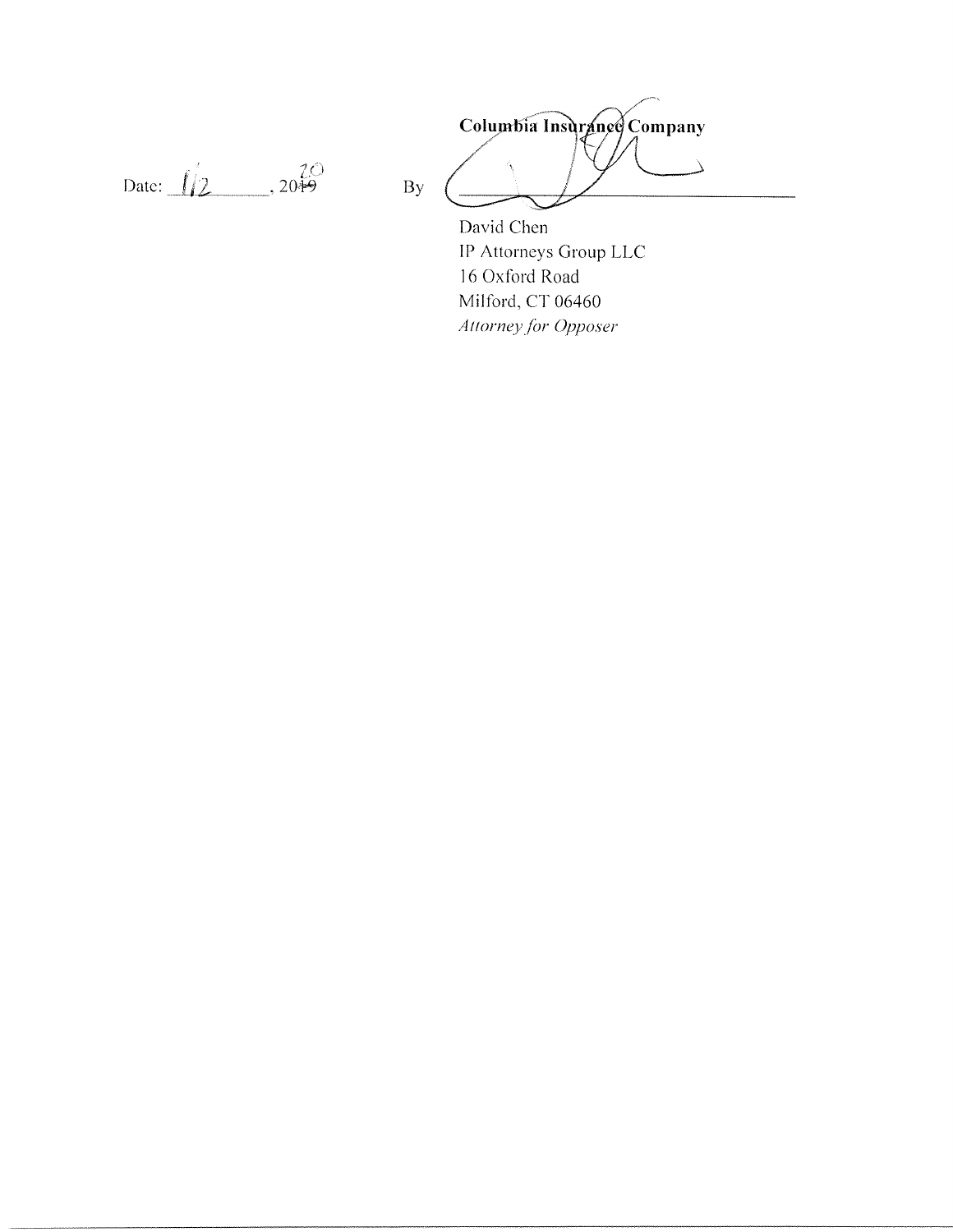Date:  $\iint_{2}^{20}$ , 20<del>19</del>

Columbia Insurance Company  $\Delta$ 

David Chen IP Attorneys Group LLC 16 Oxford Road Milford, CT 06460 Attorney for Opposer

 $By$